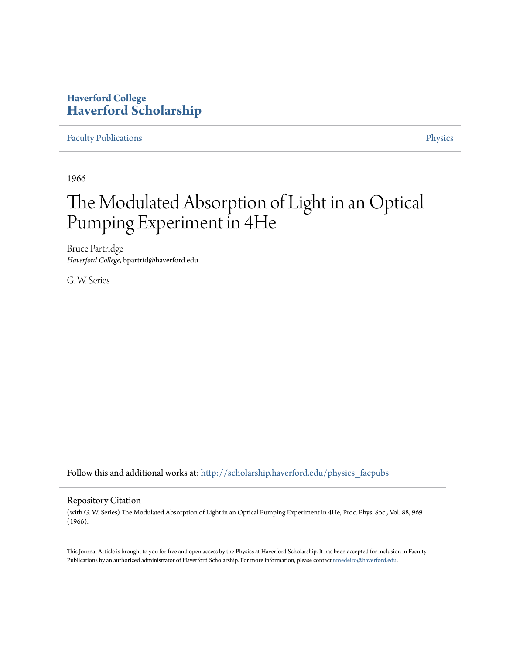## **Haverford College [Haverford Scholarship](http://scholarship.haverford.edu?utm_source=scholarship.haverford.edu%2Fphysics_facpubs%2F296&utm_medium=PDF&utm_campaign=PDFCoverPages)**

## [Faculty Publications](http://scholarship.haverford.edu/physics_facpubs?utm_source=scholarship.haverford.edu%2Fphysics_facpubs%2F296&utm_medium=PDF&utm_campaign=PDFCoverPages) **[Physics](http://scholarship.haverford.edu/physics?utm_source=scholarship.haverford.edu%2Fphysics_facpubs%2F296&utm_medium=PDF&utm_campaign=PDFCoverPages)**

1966

# The Modulated Absorption of Light in an Optical Pumping Experiment in 4He

Bruce Partridge *Haverford College*, bpartrid@haverford.edu

G. W. Series

Follow this and additional works at: [http://scholarship.haverford.edu/physics\\_facpubs](http://scholarship.haverford.edu/physics_facpubs?utm_source=scholarship.haverford.edu%2Fphysics_facpubs%2F296&utm_medium=PDF&utm_campaign=PDFCoverPages)

#### Repository Citation

(with G. W. Series) The Modulated Absorption of Light in an Optical Pumping Experiment in 4He, Proc. Phys. Soc., Vol. 88, 969 (1966).

This Journal Article is brought to you for free and open access by the Physics at Haverford Scholarship. It has been accepted for inclusion in Faculty Publications by an authorized administrator of Haverford Scholarship. For more information, please contact [nmedeiro@haverford.edu](mailto:nmedeiro@haverford.edu).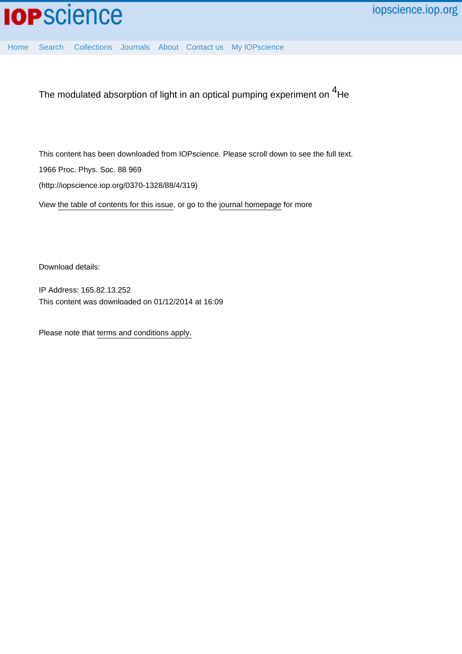[Home](http://iopscience.iop.org/) [Search](http://iopscience.iop.org/search) [Collections](http://iopscience.iop.org/collections) [Journals](http://iopscience.iop.org/journals) [About](http://iopscience.iop.org/page/aboutioppublishing) [Contact us](http://iopscience.iop.org/contact) [My IOPscience](http://iopscience.iop.org/myiopscience)

The modulated absorption of light in an optical pumping experiment on <sup>4</sup>He

This content has been downloaded from IOPscience. Please scroll down to see the full text. 1966 Proc. Phys. Soc. 88 969 (http://iopscience.iop.org/0370-1328/88/4/319)

View [the table of contents for this issue](http://iopscience.iop.org/0370-1328/88/4), or go to the [journal homepage](http://iopscience.iop.org/0370-1328) for more

Download details:

IP Address: 165.82.13.252 This content was downloaded on 01/12/2014 at 16:09

Please note that [terms and conditions apply.](iopscience.iop.org/page/terms)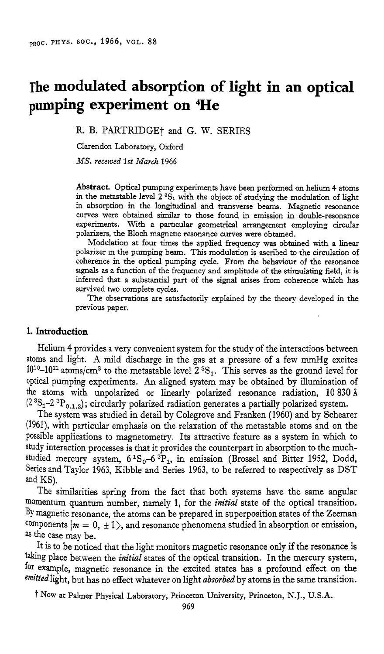# **The modulated absorption of light in an optical pumping experiment on 4He**

R. B. PARTRIDGEt and G. W. SERIES

Clarendon Laboratory, Oxford

*MS. recaved 1st March* 1966

**Abstract.** Optical pumpmg experiments have been performed on helium **4** atoms in the metastable level 2 <sup>3</sup>S<sub>1</sub> with the object of studying the modulation of light in absorption in the longitudinal and transverse beams. Magnetic resonance curves were obtained similar to those found, in emission in double-resonance experiments. With a particular geometrical arrangement employing circular polarizers, the Bloch magnetic resonance curves were obtained.

Modulation at four *times* the applied frequency was obtained with a linear polarizer *111* the pumping beam. **This** modulation is ascribed to the circulation of coherence in the optical pumping cycle. Fiom the behaviour of the resonance signals **as <sup>a</sup>**function of the frequency and amplitude of the stimulating field, it is inferred that a substantial part of the signal arises from coherence which has survived two complete cycles.

The observations are satisfactorily explained by the theory developed in the previous paper.

#### **1. Introduction**

Helium **4** provides a very convenient system for the study of the interactions between atoms and light. **A** mild discharge in the gas at a pressure of a few mmHg excites  $10^{10}$ -10<sup>11</sup> atoms/cm<sup>3</sup> to the metastable level  $2^{3}S_1$ . This serves as the ground level for optical pumping experiments. An aligned system may be obtained by illumination of the atoms with unpolarized or linearly polarized resonance radiation, 10 830 Å **(2 3S1-2** 3P0,1,2) ; circularly polarized radiation generates a partially polarized system.

The system was studied in detail by Colegrove and Franken (1960) and by Schearer  $(1961)$ , with particular emphasis on the relaxation of the metastable atoms and on the possible applications to magnetometry. Its attractive feature as a system in which to study interaction processes is that it provides the counterpart in absorption to the muchstudied mercury system,  $6^{1}S_{0} - 6^{3}P_{1}$ , in emission (Brossel and Bitter 1952, Dodd, Series and Taylor 1963, Kibble and Series 1963, to be referred to respectively as DST and KS).

The similarities spring from the fact that both systems have the same angular momentum quantum number, namely 1, for the *initial* state of the optical transition. By magnetic resonance, the atoms can be prepared in superposition states of the Zeeman components  $|m = 0, \pm 1\rangle$ , and resonance phenomena studied in absorption or emission, as the case may be.

It is to be noticed that the light monitors magnetic resonance only if the resonance is taking place between the *initial* states of the optical transition. In the mercury system, for example, magnetic resonance in the excited states has a profound effect on the emitted light, but has no effect whatever on light *absorbed* by atoms in the same transition.

f NOW at Palmer Physical Laboratory, Princeton University, Princeton, N.J., U.S.A.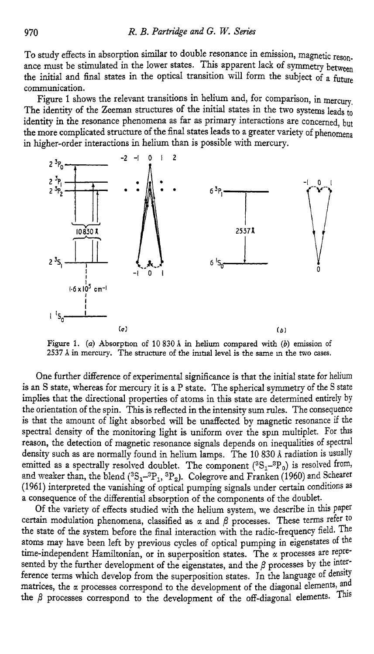TO study effects in absorption similar to double resonance in emission, magnetic resonance must be stimulated in the lower states. This apparent lack of symmetry between the initial and final states in the optical transition will form the subject of a future communication.

Figure 1 shows the relevant transitions in helium and, for comparison, in mercury, The identity of the Zeeman structures of the initial states in the two systems leads to identity in the resonance phenomena as far as primary interactions are concerned, but the more complicated structure of the final states leads to a greater variety of phenomena **in** higher-order interactions in helium than is possible with mercury.



**Figure** 1. *(a)* Absorpaon *of* 10 830 *I* in **helium** compared with *(b)* **emission** of <sup>2</sup> (a)<br>**2537**.i in mercury. The structure of the initial level is the same in the two cases.<br>**2537**.i in mercury. The structure of the initial level is the same in the two cases.

One further difference of experimental significance is that the initial state for helium is an S state, whereas for mercury it is a P state. The spherical symmetry of the S state implies that the directional properties of atoms in this state are determined entirely by the orientation of the spin. This is reflected in the intensity sum rules. The consequence is that the amount of light absorbed will be unaffected by magnetic resonance if the spectral density of the monitoring light is uniform over the spin multiplet. For this reason, the detection of magnetic resonance signals depends on inequalities of spectral density such as are normally found in helium lamps. The 10 830 Å radiation is usually emitted as a spectrally resolved doublet. The component  $(^{3}S_{1}^{-3}P_{0})$  is resolved from, and weaker than, the blend  $(^{3}S_{1}-^{3}P_{1}$ ,  $^{3}P_{2}$ ). Colegrove and Franken (1960) and Schearer (1961) interpreted the vanishing of optical pumping signals under certain conditions **as**  a consequence of the differential absorption of the components of the doublet.

Of the variety of effects studied with the helium system, we describe in this Paper certain modulation phenomena, classified as  $\alpha$  and  $\beta$  processes. These terms refer to the state of the system before the final interaction with the radic-frequency field. The atoms may have been left by previous cycles of optical pumping in eigenstates of the time-independent Hamiltonian, or in superposition states. The *a* processes are represented by the further development of the eigenstates, and the  $\beta$  processes by the interference terms which develop from the superposition states. In the language of density matrices, the *a* processes correspond to the development of the diagonal elements, and the  $\beta$  processes correspond to the development of the off-diagonal elements. This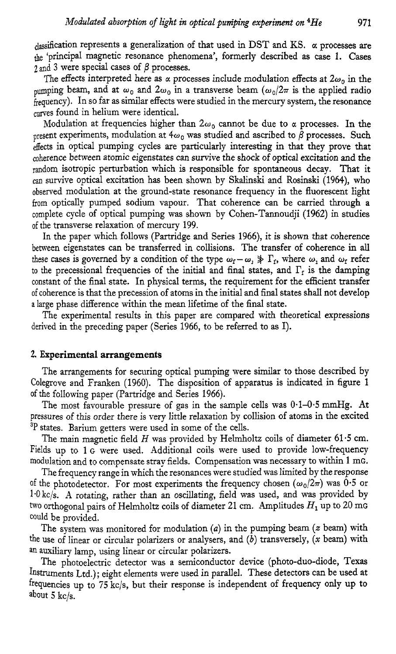$_{classification}$  represents a generalization of that used in DST and KS.  $\alpha$  processes are the 'principal magnetic resonance phenomena', formerly described as case 1. Cases  $2$  and 3 were special cases of  $\beta$  processes.

The effects interpreted here as  $\alpha$  processes include modulation effects at  $2\omega_0$  in the beam, and at  $\omega_0$  and  $2\omega_0$  in a transverse beam  $(\omega_0/2\pi)$  is the applied radio  $\hat{f}_{\text{frequency}}$ . In so far as similar effects were studied in the mercury system, the resonance curves found in helium were identical.

Modulation at frequencies higher than  $2\omega_0$  cannot be due to  $\alpha$  processes. In the present experiments, modulation at  $4\omega_0$  was studied and ascribed to  $\beta$  processes. Such effects in optical pumping cycles are particularly interesting in that they prove that coherence between atomic eigenstates can survive the shock of optical excitation and the random isotropic perturbation which is responsible for spontaneous decay. That it cm survive optical excitation has been shown by **Skalinski** and Rosinski (1964), who observed modulation at the ground-state resonance frequency in the fluorescent light **from** optically pumped sodium vapour. That coherence can be carried through a complete cycle of optical pumping was shown by Cohen-Tannoudji (1962) in studies of the transverse relaxation of mercury 199.

In the paper which follows (Partridge and Series 1966), it is shown that coherence between eigenstates can be transferred in collisions. The transfer of coherence in **all**  these cases is governed by a condition of the type  $\omega_f - \omega_i \gg \Gamma_f$ , where  $\omega_i$  and  $\omega_f$  refer to the precessional frequencies of the initial and final states, and  $\Gamma_f$  is the damping constant of the final state. In physical terms, the requirement for the efficient transfer of coherence is that the precession of atoms in the initial and final states shall not develop a large phase difference within the mean lifetime of the final state.

The experimental results in this paper are compared with theoretical expressions derived in the preceding paper (Series 1966, to be referred to **as** I).

#### **2. Experimental arrangements**

The arrangements for securing optical pumping were similar to those described by Colegrove and Franken (1960). The disposition of apparatus is indicated in figure 1 of the following paper (Partridge and Series 1966).

The most favourable pressure of gas in the sample cells was **0.1-0.5** mmHg. At pressures of this order there is very little relaxation by collision of atoms in the excited **3p** states. Barium getters were used in some of the cells.

The main magnetic field  $H$  was provided by Helmholtz coils of diameter 61.5 cm. Fields up to 1 G were used. Additional coils were used to provide low-frequency modulation and to compensate stray fields. Compensation was necessary to within 1 mG.

The frequency range in which the resonances were studied was limited by the response of the photodetector. For most experiments the frequency chosen  $(\omega_0/2\pi)$  was 0.5 or 1.0 kc/s. A rotating, rather than an oscillating, field was used, and was provided by two orthogonal pairs of Helmholtz coils of diameter 21 cm. Amplitudes  $H_1$  up to 20 mg could be provided.

The system was monitored for modulation *(a)* in the pumping beam *(z* beam) with the use of linear or circular polarizers or analysers, and *(b)* transversely, *(x* beam) with **an** auxiliary lamp, using linear or circular polarizers.

The photoelectric detector was a semiconductor device (photo-duo-diode, Texas Instruments Ltd.); eight elements were used in parallel. These detectors can be used at frequencies up to 75 kc/s, but their response is independent of frequency only up to about 5 kc/s.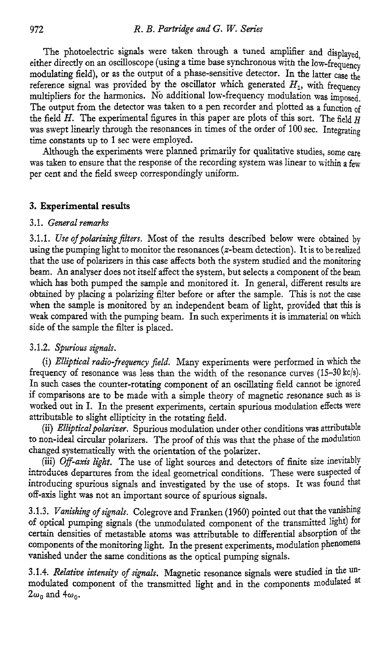The photoelectric signals were taken through a tuned amplifier and displayed, either directly on an oscilloscope (using a time base synchronous with the low-frequency modulating field), or as the output of a phase-sensitive detector. In the latter case the reference signal was provided by the oscillator which generated  $H_1$ , with frequency multipliers for the harmonics. No additional low-frequency modulation was imposed. The output from the detector was taken to a pen recorder and plotted as a function of the field *H.* The experimental figures in this paper are plots of this sort. The field *H*  was swept linearly through the resonances in times of the order of 100 sec. Integrating time constants up to 1 sec were employed.

Although the experiments were planned primarily for qualitative studies, some care was taken to ensure that the response of the recording system was linear to within a few per cent and the field sweep correspondingly uniform.

#### **3. Experimental results**

#### 3.1. *Gmal remarks*

3.1.1. *Use of polarizing filters*. Most of the results described below were obtained by using the pumping light to monitor the resonances (z-beam detection). It is to be realized that the use of polarizers in this case affects both the system studied and the monitoring heam. An analyser does not itself affect the system, but selects a component of the beam which has both pumped the sample and monitored it. In general, different results are obtained by placing a polarizing filter before or after the sample. This is not the case when the sample is monitored by an independent beam of light, provided that this is weak compared with the pumping beam. In such experiments it is immaterial on which side of the sample the filter is placed.

#### 3.1.2. *Spurious signals.*

(i) *Elliptical radio-frequency jield.* Many experiments were performed in which the frequency of resonance was less than the width of the resonance curves  $(15-30 \text{ kg/s})$ . In such cases the counter-rotating component of an oscillating field cannot be ignored if comparisons are to be made with a simple theory of magnetic resonance such as is worked out in I. In the present experiments, certain spurious modulation effects were attributable to slight ellipticity in the rotating field.

(ii) *Elliptical polarizer.* Spurious modulation under other conditions was attributable to non-ideal circular polarizers. The proof of this was that the phase of the modulation changed systematically with the orientation of the polarizer.

(iii) Off-axis light. The use of light sources and detectors of finite size inevitably introduces departures from the ideal geometrical conditions. These were suspected of introducing spurious signals and investigated by the use of stops. It was found that off-axis light was not an important source of spurious signals.

3.1.3. *Vanishing of signals.* Colegrove and Franken (1960) pointed out that the vanishing of optical pumping signals (the unmodulated component of the transmitted light) for certain densities of metastable atoms was attributable to differential absorption of the components of the monitoring light. In the present experiments, modulation phenomena vanished under the same conditions as the optical pumping signals.

3.1.4. *Relative intasity of signal.* Magnetic resonance signals were studied in the unmodulated component of the transmitted light and in the components modulated at  $2\omega_0$  and  $4\omega_0$ .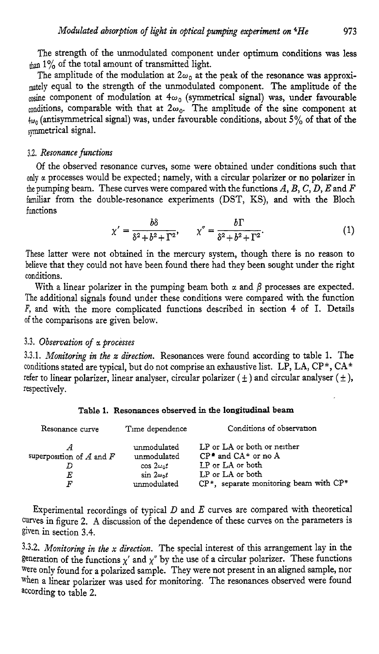The strength of the unmodulated component under optimum conditions was less  $t_{\text{than}}$  1% of the total amount of transmitted light.

The amplitude of the modulation at  $2\omega_0$  at the peak of the resonance was approximately equal to the strength of the unmodulated component. The amplitude of the  $\omega$ sine component of modulation at  $4\omega_0$  (symmetrical signal) was, under favourable conditions, comparable with that at  $2\omega_0$ . The amplitude of the sine component at **4~,,** (antisymmetrical signal) was, under favourable conditions, about *5%* of that of the symmetrical signal.

#### *3.2. Resonance functions*

*Of* the observed resonance curves, some were obtained under conditions such that only *a* processes would be expected; namely, with a circular polarizer or no polarizer in the pumping beam. These curves were compared with the functions *A, B,* C, *D,* E and *F*  familiar from the double-resonance experiments (DST, KS), and with the Bloch functions

$$
\chi' = \frac{b\delta}{\delta^2 + b^2 + \Gamma^2}, \qquad \chi'' = \frac{b\Gamma}{\delta^2 + b^2 + \Gamma^2}.
$$
 (1)

These latter were not obtained in the mercury system, though there is no reason to believe that they could not have been found there had they been sought under the right conditions.

With a linear polarizer in the pumping beam both  $\alpha$  and  $\beta$  processes are expected. The additional signals found under these conditions were compared with the function *F,* and with the more complicated functions described in section **4** of I. Details of the comparisons are given below.

#### **3.3.** *Observation of a processes*

**3.3.1.** *Monitoring in the x direction.* Resonances were found according to table 1. The conditions stated are typical, but do not comprise **an** exhaustive list. LP, LA, **CP\*, CA\***  refer to linear polarizer, linear analyser, circular polarizer  $(\pm)$  and circular analyser  $(\pm)$ , respectively.

#### **Task 1. Resooazces ~bssrvec! in the longitudinal beam**

| Resonance curve              | Time dependence                          | Conditions of observation                                            |  |
|------------------------------|------------------------------------------|----------------------------------------------------------------------|--|
| superposition of $A$ and $F$ | unmodulated<br>unmodulated               | LP or LA or both or neither<br>$CP^{\bullet}$ and $CA^{\pm}$ or no A |  |
| E                            | $\cos 2\omega_0 t$<br>$\sin 2\omega_0 t$ | I.P or LA or both<br>LP or LA or both                                |  |
| F                            | unmodulated                              | $CP^*$ , separate monitoring beam with $CP^*$                        |  |

Experimental recordings of typical D and *E* curves are compared with theoretical Curves in figure **2. A** discussion of the dependence of these curves on the parameters is given in section **3.4.** 

3.3.2. *Monitoring in the* **x** *direction.* The special interest of this arrangement lay in the generation of the functions  $x'$  and  $x''$  by the use of a circular polarizer. These functions were only found for a polarized sample. They were not present in an aligned sample, nor when a linear polarizer was used for monitoring. The resonances observed were found according to table **2.**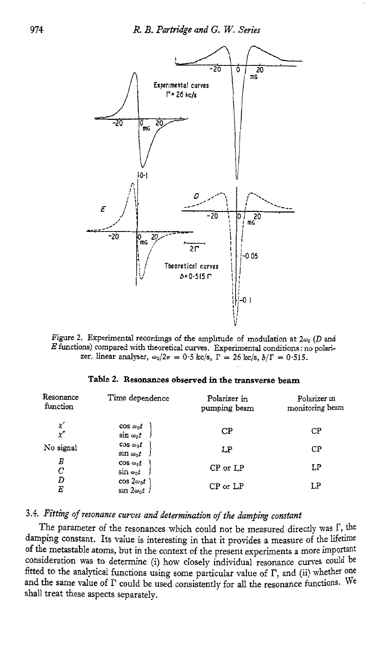

Figure 2. Experimental recordings of the amplitude of modulation at  $2\omega_0$  (D and *E* functions) compared with theoretical curves. Experimental conditions: no polarizer, linear analyser,  $\omega_0/2\pi = 0.5 \text{ kg/s}, \Gamma = 26 \text{ kg/s}, b/\Gamma = 0.515.$ 

#### **Table 2. Resonances observed in the transverse beam**

| Resonance<br>function | Time dependence                          | Polarizer in<br>pumping beam | Polarizer in<br>monitoring beam |  |
|-----------------------|------------------------------------------|------------------------------|---------------------------------|--|
| x<br>x''              | $\cos \omega_0 t$<br>$\sin \omega_0 t$   | CP                           | $C\mathbf{P}$                   |  |
| No signal             | $\cos \omega_0 t$<br>$\sin \omega_0 t$   | LP                           | CP                              |  |
| В<br>С                | $\cos \omega_0 t$<br>$\sin \omega_0 t$   | $CP$ or $LP$                 | LP                              |  |
| D<br>E                | $\cos 2\omega_0 t$<br>$\sin 2\omega_0 t$ | $CP$ or $LP$                 | LP                              |  |

## **3.4.** *Fitting of resonance curves and determination of the damping constant*

The parameter of the resonances which could not be measured directly was  $\Gamma$ , the damping constant. Its value is interesting in that it provides a measure of the lifetime of the metastable atoms, but in the context of the present experiments a more important consideration was to determine (i) how closely individual resonance curves could be fitted to the analytical functions using some particular value of  $\Gamma$ , and (ii) whether one and the same value of  $\Gamma$  could be used consistently for all the resonance functions. We shall treat these aspects separately.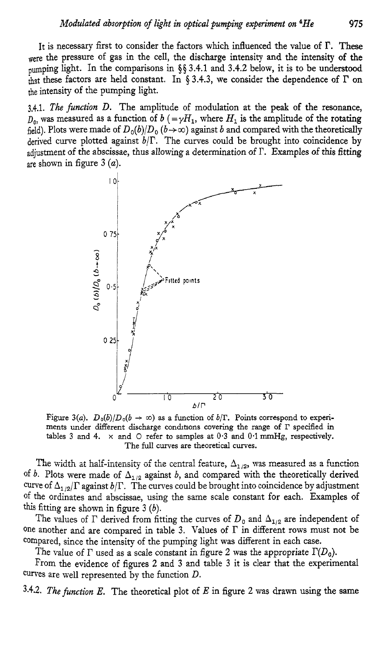It is necessary first to consider the factors which influenced the value of **I?.** These were the pressure of gas in the cell, the discharge intensity and the intensity of the pumping light. In the comparisons in **\$5 3.4.1** and **3.4.2** below, it is to be understood that these factors are held constant. In  $\S$  3.4.3, we consider the dependence of  $\Gamma$  on the intensity of the pumping light.

3.4.1. *The function D.* The amplitude of modulation at the peak of the resonance,  $D_0$ , was measured as a function of  $b$  (= $\gamma H_1$ , where  $H_1$  is the amplitude of the rotating field). Plots were made of  $D_0(b)/D_0(b \rightarrow \infty)$  against *b* and compared with the theoretically derived curve plotted against  $b/\Gamma$ . The curves could be brought into coincidence by adjustment of the abscissae, thus allowing a determination of  $\Gamma$ . Examples of this fitting are shown in figure 3 *(a).* 



Figure 3(a).  $D_0(b)/D_0(b \to \infty)$  as a function of  $b/\Gamma$ . Points correspond to experiments under different discharge conditions covering the range of  $\Gamma$  specified in tables **3** and **4.** *x* and *0* refer to **samples** at 0.3 and 0.1 mmHg, respectively. The full curves are theoretical curves.

The width at half-intensity of the central feature,  $\Delta_{1/2}$ , was measured as a function of *b*. Plots were made of  $\Delta_{1/2}$  against *b*, and compared with the theoretically derived curve of  $\Delta_{1/2}/\Gamma$  against  $b/\Gamma$ . The curves could be brought into coincidence by adjustment of the ordinates and abscissae, using the same scale constant for each. Examples of this fitting are shown in figure 3 *(b).* 

The values of  $\Gamma$  derived from fitting the curves of  $D_0$  and  $\Delta_{1/2}$  are independent of one another and are compared in table 3. Values of  $\Gamma$  in different rows must not be compared, since the intensity of the pumping light was different in each case.

The value of  $\Gamma$  used as a scale constant in figure 2 was the appropriate  $\Gamma(D_0)$ .

From the evidence of figures **2** and 3 and table **3** it is clear that the experimental Curves are well represented by the function *D.* 

**3.4.2.** *The function E.* The theoretical plot of *E* in figure **2** was drawn using the same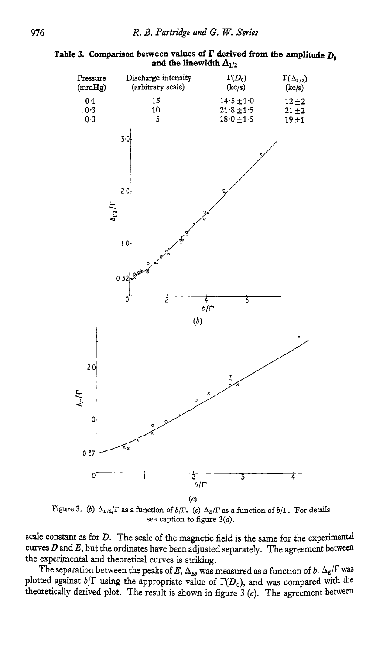#### Table 3. Comparison between values of  $\Gamma$  derived from the amplitude  $D_0$ and the linewidth  $\Delta_{1/2}$



Figure 3. (b)  $\Delta_{1/2}/\Gamma$  as a function of  $b/\Gamma$ . (c)  $\Delta_{\Sigma}/\Gamma$  as a function of  $b/\Gamma$ . For details see caption to figure  $3(a)$ .

scale constant as for *D.* The scale of the magnetic field is the same for the experimental curves  $D$  and  $E$ , but the ordinates have been adjusted separately. The agreement between the experimental and theoretical curves is striking.

The separation between the peaks of E,  $\Delta_E$ , was measured as a function of *b*.  $\Delta_E/\Gamma$  was plotted against  $b/\Gamma$  using the appropriate value of  $\Gamma(D_0)$ , and was compared with the theoretically derived plot. The result is shown in figure  $3$   $(c)$ . The agreement between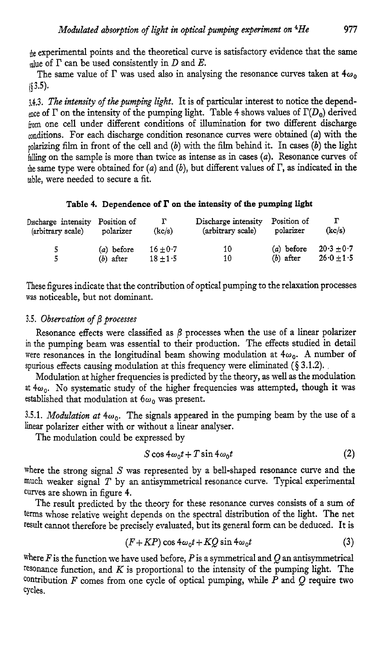be experimental points and the theoretical curve is satisfactory evidence that the same while of  $\Gamma$  can be used consistently in D and E.

The same value of  $\Gamma$  was used also in analysing the resonance curves taken at  $4\omega_0$ **(83.5).** 

**3.4.3.** *The intm\*ty of the pumping light.* It is of particular interest to notice the dependance of  $\Gamma$  on the intensity of the pumping light. Table 4 shows values of  $\Gamma(D_0)$  derived kom one cell under different conditions of illumination for *two* different discharge <sub>conditions.</sub> For each discharge condition resonance curves were obtained (a) with the polarizing film in front of the cell and *(b)* with the film behind it. In cases *(b)* the light ialling on the sample is more than twice **as** intense as in cases *(a).* Resonance curves of the same type were obtained for *(a)* and *(b),* but different values of I?, as indicated in the table, were needed to secure a fit.

#### Table 4. Dependence of  $\Gamma$  on the intensity of the pumping light

| Discharge intensity | Position of | г          | Discharge intensity | Position of | г              |
|---------------------|-------------|------------|---------------------|-------------|----------------|
| (arbitrary scale)   | polarizer   | (kc/s)     | (arbitrary scale)   | polarizer   | (kc/s)         |
| 5                   | (a) before  | $16 + 0.7$ | 10                  | (a) before  | $20.3 + 0.7$   |
| 5                   | $(b)$ after | $18 + 1.5$ | 10                  | $(b)$ after | $26.0 \pm 1.5$ |

These figures indicate that the contribution of optical pumping to the relaxation processes was noticeable, but not dominant.

#### *3.5. Observation of* /3 *processes*

Resonance effects were classified as  $\beta$  processes when the use of a linear polarizer in the pumping beam was essential to their production. The effects studied **in** detail were resonances in the longitudinal beam showing modulation at  $4\omega_0$ . A number of spurious effects causing modulation at this frequency were eliminated  $(\S 3.1.2)$ .

Modulation at higher frequencies is predicted by the theory, as well as the modulation at  $4\omega_0$ . No systematic study of the higher frequencies was attempted, though it was established that modulation at  $6\omega_0$  was present.

3.5.1. *Modulation at*  $4\omega_0$ . The signals appeared in the pumping beam by the use of a linear polarizer either with or without a linear analyser.

The modulation could be expressed by

$$
S\cos 4\omega_0 t + T\sin 4\omega_0 t\tag{2}
$$

where the strong signal  $S$  was represented by a bell-shaped resonance curve and the much weaker signal *T* by an antisymmetrical resonance curve. Typical experimental Curves are shown in figure *4.* 

The result predicted by the theory for these resonance curves consists of a sum of terms whose relative weight depends on the spectral distribution of the light. The net result cannot therefore be precisely evaluated, but its general form can be deduced. It is

$$
(F+KP)\cos 4\omega_0 t + KQ\sin 4\omega_0 t\tag{3}
$$

where  $F$  is the function we have used before,  $P$  is a symmetrical and  $Q$  an antisymmetrical resonance function, and *K* is proportional to the intensity of the pumping light. The contribution *F* comes from one cycle of optical pumping, while *P* and Q require two cycles.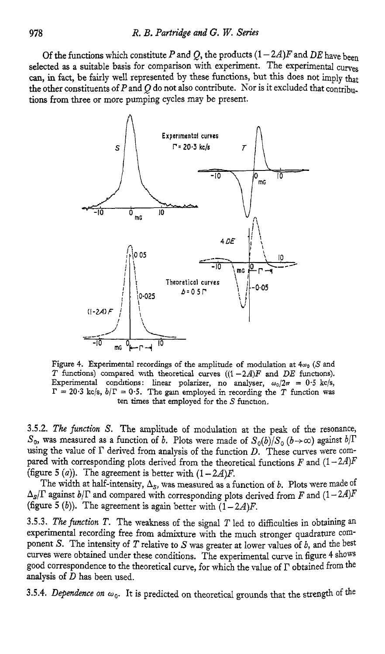*Of the functions which constitute*  $P$  *and*  $Q$ *, the products*  $(1 - 2A)F$  *and*  $DE$  *have been* selected as a suitable basis for comparison with experiment. The experimental curves can, in fact, be fairly well represented by these functions, but this does not imply that the other constituents of *P* and Q do not also contribute. Nor is it excluded that contribu**tions** from three or more pumping cycles may be present.



Figure 4. Experimental recordings of the amplitude of modulation at  $4\omega_0$  (S and T functions) compared with theoretical curves  $((1 - 2A)F$  and DE functions). Experimental conditions: linear polarizer, no analyser,  $\omega_0/2\pi = 0.5$  kc/s,  $\Gamma = 20.3$  kc/s,  $b/\Gamma = 0.5$ . The gain employed in recording the T function was ten times that employed for the  $S$  function.

**3.5.2.** *The function* S. The amplitude of modulation at the peak of the resonance,  $S_0$ , was measured as a function of *b*. Plots were made of  $S_0(b)/S_0(b \rightarrow \infty)$  against  $b/\Gamma$ using the value of  $\Gamma$  derived from analysis of the function  $D$ . These curves were compared with corresponding plots derived from the theoretical functions  $F$  and  $(1-2A)F$ (figure 5  $(a)$ ). The agreement is better with  $(1 - 2A)F$ .

The width at half-intensity,  $\Delta_S$ , was measured as a function of *b*. Plots were made of  $\Delta_{S}/\Gamma$  against  $b/\Gamma$  and compared with corresponding plots derived from *F* and  $(1-2A)F$ (figure 5 (b)). The agreement is again better with  $(1-2A)F$ .

**3.5.3.** *The function T.* The weakness of the signal *T* led to difficulties in obtaining **an**  experimental recording free from admixture with the much stronger quadrature component *S*. The intensity of *T* relative to *S* was greater at lower values of *b*, and the best curves were obtained under these conditions. The experimental curve in figure 4 shows good correspondence to the theoretical curve, for which the value of  $\Gamma$  obtained from the analysis of *D* has been used.

3.5.4. Dependence on  $\omega_0$ . It is predicted on theoretical grounds that the strength of the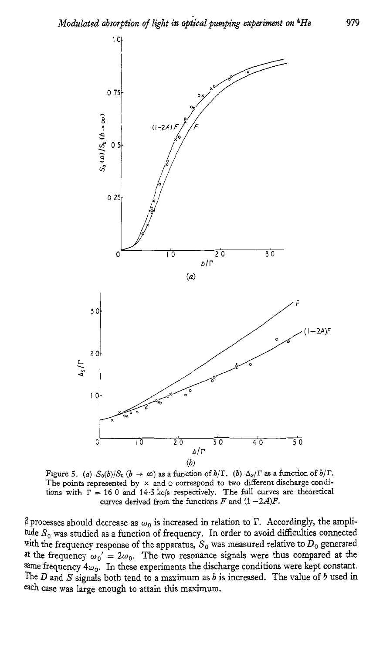

Figure 5. *(a)*  $S_0(b)/S_0$   $(b \rightarrow \infty)$  as a function of  $b/\Gamma$ . *(b)*  $\Delta_s/\Gamma$  as a function of  $b/\Gamma$ . The points represented by **x** and o correspond to two different discharge conditions with  $\Gamma = 160$  and  $14.5$  kc/s respectively. The full curves are theoretical curves derived from the functions  $F$  and  $(1 - 2A)F$ .

 $\beta$  processes should decrease as  $\omega_0$  is increased in relation to  $\Gamma$ . Accordingly, the amplitude  $S_0$  was studied as a function of frequency. In order to avoid difficulties connected with the frequency response of the apparatus,  $S_0$  was measured relative to  $D_0$  generated at the frequency  $\omega_0' = 2\omega_0$ . The two resonance signals were thus compared at the same frequency  $4\omega_0$ . In these experiments the discharge conditions were kept constant. The D and *S* signals both tend to a maximum as *b* is increased. The value **of** *b* used in each case was large enough to attain this maximum.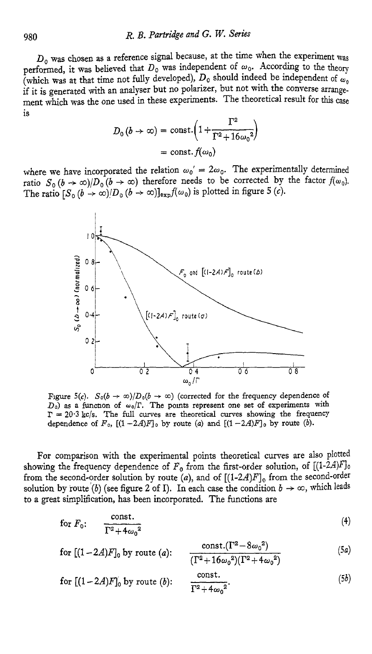*Do* was chosen **as** a reference signal because, at the time when the experiment **lvas**  performed, it was believed that  $D_0$  was independent of  $\omega_0$ . According to the theory (which was at that time not fully developed),  $D_0$  should indeed be independent of  $\omega_0$ if it is generated with an analyser but no polarizer, but not with the converse arrangement which was the one used in these experiments. The theoretical result for this case is

$$
D_0(b \to \infty) = \text{const.} \left( 1 + \frac{\Gamma^2}{\Gamma^2 + 16\omega_0^2} \right)
$$

$$
= \text{const.} \, f(\omega_0)
$$

where we have incorporated the relation  $\omega_0' = 2\omega_0$ . The experimentally determined ratio  $S_0 (b \to \infty)/D_0 (b \to \infty)$  therefore needs to be corrected by the factor  $f(\omega_0)$ . The ratio  $[S_0 (b \to \infty) / D_0 (b \to \infty)]_{exp} f(\omega_0)$  is plotted in figure 5 (c).



Figure 5(c).  $S_0(b \to \infty)/D_0(b \to \infty)$  (corrected for the frequency dependence of  $D_0$ ) as a function of  $\omega_0/\Gamma$ . The points represent one set of experiments with  $\Gamma = 20.3$  kc/s. The full curves are theoretical curves showing the frequency dependence of  $F_0$ ,  $[(1-2A)F]_0$  by route *(a)* and  $[(1-2A)F]_0$  by route *(b)*.

For comparison with the experimental points theoretical curves are also plotted showing the frequency dependence of  $F_0$  from the first-order solution, of  $[(1-\hat{2}A)F]$ . from the second-order solution by route  $(a)$ , and of  $[(1-2A)F]_0$  from the second-order solution by route (b) (see figure 2 of I). In each case the condition  $b \to \infty$ , which leads to a great simplification, **has** been incorporated. The functions are

for 
$$
F_0
$$
: 
$$
\frac{\text{const.}}{\Gamma^2 + 4\omega_0^2}
$$
 (4)

for 
$$
[(1-2A)F]_0
$$
 by route (a): 
$$
\frac{\text{const.}(\Gamma^2 - 8\omega_0^2)}{(\Gamma^2 + 16\omega_0^2)(\Gamma^2 + 4\omega_0^2)}
$$
(5a)

for 
$$
[(1-2A)F]_0
$$
 by route (b): 
$$
\frac{\text{const.}}{\Gamma^2 + 4\omega_0^2}.
$$
 (5b)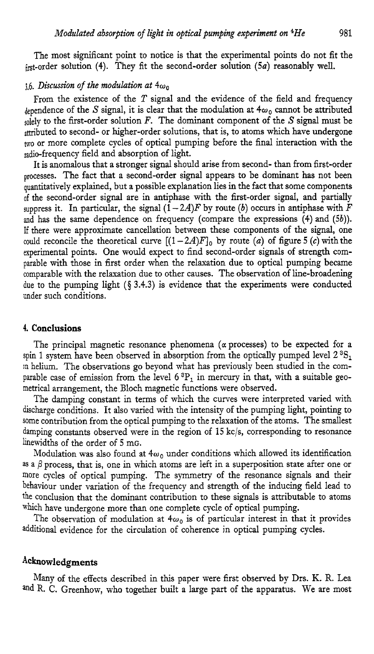The most significant point to notice is that the experimental points do not fit the bt-order solution **(4).** They fit the second-order solution *(sa)* reasonably well.

#### $36.$  *Discussion of the modulation at*  $4\omega_0$

From the existence of the  $T$  signal and the evidence of the field and frequency dependence of the S signal, it is clear that the modulation at  $4\omega_0$  cannot be attributed solely to the first-order solution *F*. The dominant component of the *S* signal must be attributed to second- or higher-order solutions, that is, to atoms which have undergone **WO** or more complete cycles of optical pumping before the final interaction with the radio-frequency field and absorption of light.

It is anomalous that a stronger signal should arise from second- than from first-order processes. The fact that a second-order signal appears to be dominant has not been quantitatively explained, but a possible explanation lies in the fact that some components of the second-order signal are in antiphase with the first-order signal, and partially suppress it. In particular, the signal  $(1 - 2A)F$  by route *(b)* occurs in antiphase with *F* and has the same dependence on frequency (compare the expressions *(4)* and *(5b)).*  If there were approximate cancellation between these components of the signal, one could reconcile the theoretical curve  $[(1-2A)F]_0$  by route *(a)* of figure 5 *(c)* with the experimental points. One would expect to find second-order signals of strength comparable with those in first order when the relaxation due to optical pumping became comparable with the relaxation due to other causes. The observation of line-broadening due to the pumping light **(5 3.4.3)** is evidence that the experiments were conducted under such conditions.

#### **4. Conclusions**

The principal magnetic resonance phenomena  $(\alpha$  processes) to be expected for a spin 1 system have been observed in absorption from the optically pumped level **2 in** helium. The observations go beyond what has previously been studied in the comparable case of emission from the level *6* **3P,** in mercury in that, with a suitable geometrical arrangement, the Bloch magnetic functions were observed.

The damping constant in terms of which the curves were interpreted varied with discharge conditions. It also varied with the intensity of the pumping light, pointing to some contribution from the optical pumping to the relaxation of the atoms. The smallest damping constants observed were in the region of **15** kc/s, corresponding to resonance hewidths of the order of **5** mG.

Modulation was also found at  $4\omega_0$  under conditions which allowed its identification as a  $\beta$  process, that is, one in which atoms are left in a superposition state after one or more cycles of optical pumping. The symmetry of the resonance signals and their behaviour under variation of the frequency and strength of the inducing field lead to the conclusion that the dominant contribution to these signals is attributable to atoms which have undergone more than one complete cycle of optical pumping.

The observation of modulation at  $4\omega_0$  is of particular interest in that it provides additional evidence for the circulation of coherence in optical pumping cycles.

#### **Acknowledgments**

Many of the effects described in this paper were first observed by Drs. K. R. Lea and R. C. Greenhow, who together built a large part of the apparatus. We are most